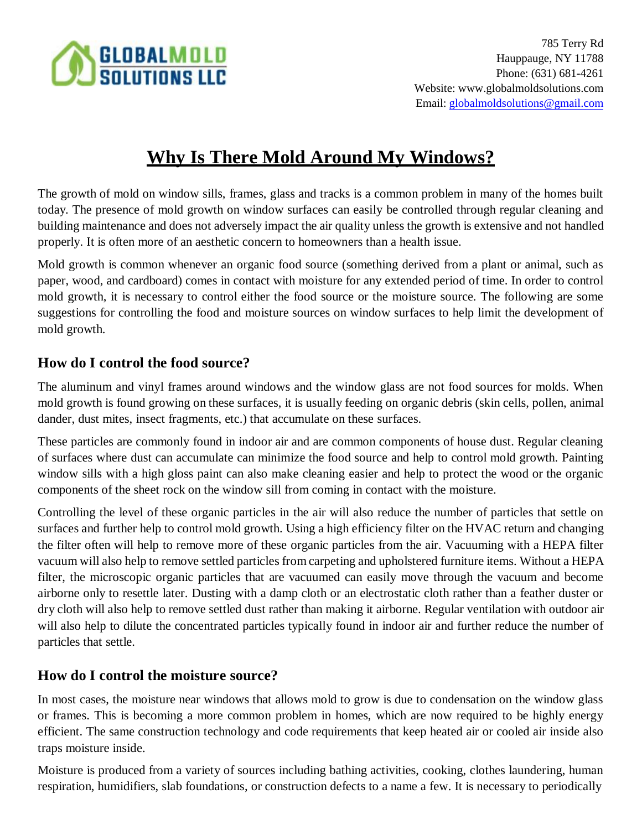

# **Why Is There Mold Around My Windows?**

The growth of mold on window sills, frames, glass and tracks is a common problem in many of the homes built today. The presence of mold growth on window surfaces can easily be controlled through regular cleaning and building maintenance and does not adversely impact the air quality unless the growth is extensive and not handled properly. It is often more of an aesthetic concern to homeowners than a health issue.

Mold growth is common whenever an organic food source (something derived from a plant or animal, such as paper, wood, and cardboard) comes in contact with moisture for any extended period of time. In order to control mold growth, it is necessary to control either the food source or the moisture source. The following are some suggestions for controlling the food and moisture sources on window surfaces to help limit the development of mold growth.

## **How do I control the food source?**

The aluminum and vinyl frames around windows and the window glass are not food sources for molds. When mold growth is found growing on these surfaces, it is usually feeding on organic debris (skin cells, pollen, animal dander, dust mites, insect fragments, etc.) that accumulate on these surfaces.

These particles are commonly found in indoor air and are common components of house dust. Regular cleaning of surfaces where dust can accumulate can minimize the food source and help to control mold growth. Painting window sills with a high gloss paint can also make cleaning easier and help to protect the wood or the organic components of the sheet rock on the window sill from coming in contact with the moisture.

Controlling the level of these organic particles in the air will also reduce the number of particles that settle on surfaces and further help to control mold growth. Using a high efficiency filter on the HVAC return and changing the filter often will help to remove more of these organic particles from the air. Vacuuming with a HEPA filter vacuum will also help to remove settled particles from carpeting and upholstered furniture items. Without a HEPA filter, the microscopic organic particles that are vacuumed can easily move through the vacuum and become airborne only to resettle later. Dusting with a damp cloth or an electrostatic cloth rather than a feather duster or dry cloth will also help to remove settled dust rather than making it airborne. Regular ventilation with outdoor air will also help to dilute the concentrated particles typically found in indoor air and further reduce the number of particles that settle.

### **How do I control the moisture source?**

In most cases, the moisture near windows that allows mold to grow is due to condensation on the window glass or frames. This is becoming a more common problem in homes, which are now required to be highly energy efficient. The same construction technology and code requirements that keep heated air or cooled air inside also traps moisture inside.

Moisture is produced from a variety of sources including bathing activities, cooking, clothes laundering, human respiration, humidifiers, slab foundations, or construction defects to a name a few. It is necessary to periodically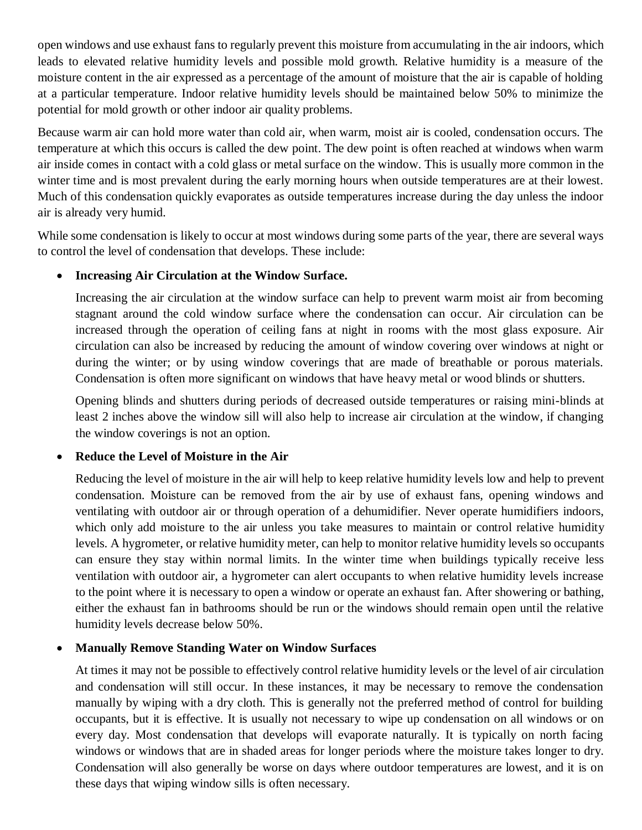open windows and use exhaust fans to regularly prevent this moisture from accumulating in the air indoors, which leads to elevated relative humidity levels and possible mold growth. Relative humidity is a measure of the moisture content in the air expressed as a percentage of the amount of moisture that the air is capable of holding at a particular temperature. Indoor relative humidity levels should be maintained below 50% to minimize the potential for mold growth or other indoor air quality problems.

Because warm air can hold more water than cold air, when warm, moist air is cooled, condensation occurs. The temperature at which this occurs is called the dew point. The dew point is often reached at windows when warm air inside comes in contact with a cold glass or metal surface on the window. This is usually more common in the winter time and is most prevalent during the early morning hours when outside temperatures are at their lowest. Much of this condensation quickly evaporates as outside temperatures increase during the day unless the indoor air is already very humid.

While some condensation is likely to occur at most windows during some parts of the year, there are several ways to control the level of condensation that develops. These include:

#### • **Increasing Air Circulation at the Window Surface.**

Increasing the air circulation at the window surface can help to prevent warm moist air from becoming stagnant around the cold window surface where the condensation can occur. Air circulation can be increased through the operation of ceiling fans at night in rooms with the most glass exposure. Air circulation can also be increased by reducing the amount of window covering over windows at night or during the winter; or by using window coverings that are made of breathable or porous materials. Condensation is often more significant on windows that have heavy metal or wood blinds or shutters.

Opening blinds and shutters during periods of decreased outside temperatures or raising mini-blinds at least 2 inches above the window sill will also help to increase air circulation at the window, if changing the window coverings is not an option.

#### • **Reduce the Level of Moisture in the Air**

Reducing the level of moisture in the air will help to keep relative humidity levels low and help to prevent condensation. Moisture can be removed from the air by use of exhaust fans, opening windows and ventilating with outdoor air or through operation of a dehumidifier. Never operate humidifiers indoors, which only add moisture to the air unless you take measures to maintain or control relative humidity levels. A hygrometer, or relative humidity meter, can help to monitor relative humidity levels so occupants can ensure they stay within normal limits. In the winter time when buildings typically receive less ventilation with outdoor air, a hygrometer can alert occupants to when relative humidity levels increase to the point where it is necessary to open a window or operate an exhaust fan. After showering or bathing, either the exhaust fan in bathrooms should be run or the windows should remain open until the relative humidity levels decrease below 50%.

#### • **Manually Remove Standing Water on Window Surfaces**

At times it may not be possible to effectively control relative humidity levels or the level of air circulation and condensation will still occur. In these instances, it may be necessary to remove the condensation manually by wiping with a dry cloth. This is generally not the preferred method of control for building occupants, but it is effective. It is usually not necessary to wipe up condensation on all windows or on every day. Most condensation that develops will evaporate naturally. It is typically on north facing windows or windows that are in shaded areas for longer periods where the moisture takes longer to dry. Condensation will also generally be worse on days where outdoor temperatures are lowest, and it is on these days that wiping window sills is often necessary.